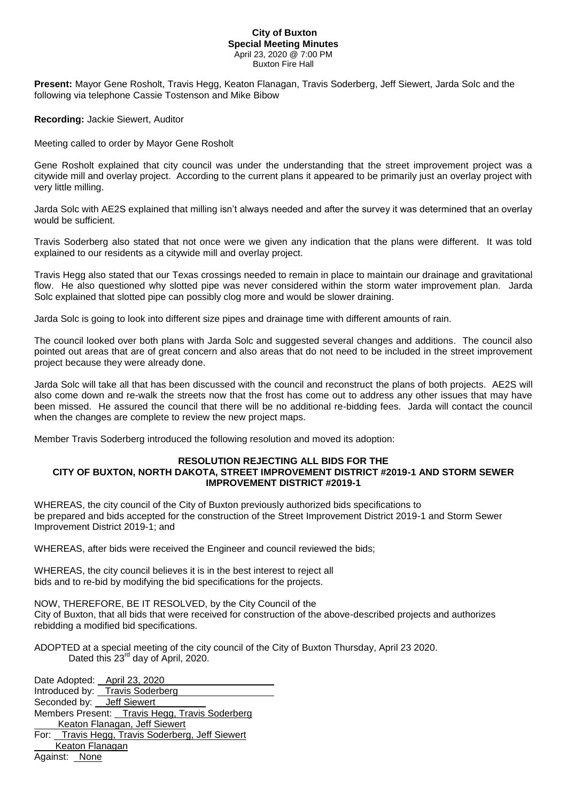## **City of Buxton Special Meeting Minutes** April 23, 2020 @ 7:00 PM Buxton Fire Hall

**Present:** Mayor Gene Rosholt, Travis Hegg, Keaton Flanagan, Travis Soderberg, Jeff Siewert, Jarda Solc and the following via telephone Cassie Tostenson and Mike Bibow

**Recording:** Jackie Siewert, Auditor

Meeting called to order by Mayor Gene Rosholt

Gene Rosholt explained that city council was under the understanding that the street improvement project was a citywide mill and overlay project. According to the current plans it appeared to be primarily just an overlay project with very little milling.

Jarda Solc with AE2S explained that milling isn't always needed and after the survey it was determined that an overlay would be sufficient.

Travis Soderberg also stated that not once were we given any indication that the plans were different. It was told explained to our residents as a citywide mill and overlay project.

Travis Hegg also stated that our Texas crossings needed to remain in place to maintain our drainage and gravitational flow. He also questioned why slotted pipe was never considered within the storm water improvement plan. Jarda Solc explained that slotted pipe can possibly clog more and would be slower draining.

Jarda Solc is going to look into different size pipes and drainage time with different amounts of rain.

The council looked over both plans with Jarda Solc and suggested several changes and additions. The council also pointed out areas that are of great concern and also areas that do not need to be included in the street improvement project because they were already done.

Jarda Solc will take all that has been discussed with the council and reconstruct the plans of both projects. AE2S will also come down and re-walk the streets now that the frost has come out to address any other issues that may have been missed. He assured the council that there will be no additional re-bidding fees. Jarda will contact the council when the changes are complete to review the new project maps.

Member Travis Soderberg introduced the following resolution and moved its adoption:

## **RESOLUTION REJECTING ALL BIDS FOR THE CITY OF BUXTON, NORTH DAKOTA, STREET IMPROVEMENT DISTRICT #2019-1 AND STORM SEWER IMPROVEMENT DISTRICT #2019-1**

WHEREAS, the city council of the City of Buxton previously authorized bids specifications to be prepared and bids accepted for the construction of the Street Improvement District 2019-1 and Storm Sewer Improvement District 2019-1; and

WHEREAS, after bids were received the Engineer and council reviewed the bids;

WHEREAS, the city council believes it is in the best interest to reject all bids and to re-bid by modifying the bid specifications for the projects.

NOW, THEREFORE, BE IT RESOLVED, by the City Council of the City of Buxton, that all bids that were received for construction of the above-described projects and authorizes rebidding a modified bid specifications.

ADOPTED at a special meeting of the city council of the City of Buxton Thursday, April 23 2020. Dated this 23<sup>rd</sup> day of April, 2020.

Date Adopted: April 23, 2020 Introduced by: Travis Soderberg Seconded by: Jeff Siewert Members Present: Travis Hegg, Travis Soderberg Keaton Flanagan, Jeff Siewert For: Travis Hegg, Travis Soderberg, Jeff Siewert Keaton Flanagan Against: None